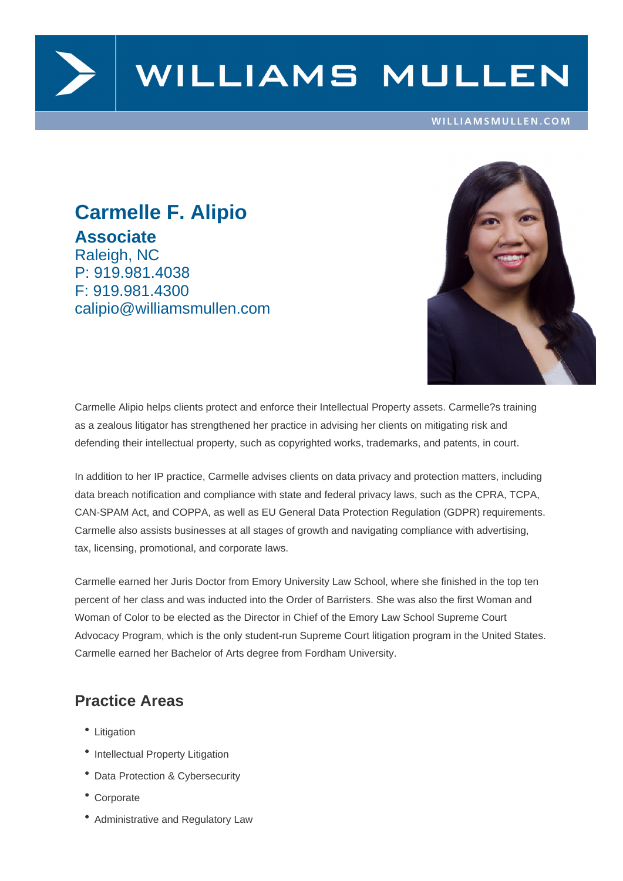

# WILLIAMS MULLEN

#### WILLIAMSMULLEN.COM

### **Carmelle F. Alipio Associate** Raleigh, NC P: 919.981.4038 F: 919.981.4300 calipio@williamsmullen.com



In addition to her IP practice, Carmelle advises clients on data privacy and protection matters, including data breach notification and compliance with state and federal privacy laws, such as the CPRA, TCPA, CAN-SPAM Act, and COPPA, as well as EU General Data Protection Regulation (GDPR) requirements. Carmelle also assists businesses at all stages of growth and navigating compliance with advertising, tax, licensing, promotional, and corporate laws.

Carmelle earned her Juris Doctor from Emory University Law School, where she finished in the top ten percent of her class and was inducted into the Order of Barristers. She was also the first Woman and Woman of Color to be elected as the Director in Chief of the Emory Law School Supreme Court Advocacy Program, which is the only student-run Supreme Court litigation program in the United States. Carmelle earned her Bachelor of Arts degree from Fordham University.

### **Practice Areas**

- Litigation
- Intellectual Property Litigation
- Data Protection & Cybersecurity
- Corporate
- Administrative and Regulatory Law